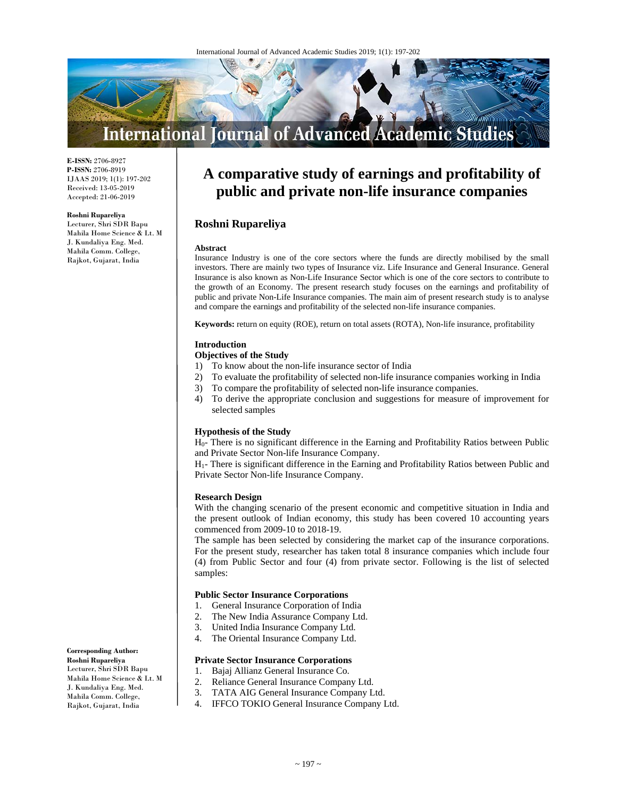

**E-ISSN:** 2706-8927 **P-ISSN:** 2706-8919 IJAAS 2019; 1(1): 197-202 Received: 13-05-2019 Accepted: 21-06-2019

#### **Roshni Rupareliya**

Lecturer, Shri SDR Bapu Mahila Home Science & Lt. M J. Kundaliya Eng. Med. Mahila Comm. College, Rajkot, Gujarat, India

# **A comparative study of earnings and profitability of public and private non-life insurance companies**

# **Roshni Rupareliya**

#### **Abstract**

Insurance Industry is one of the core sectors where the funds are directly mobilised by the small investors. There are mainly two types of Insurance viz. Life Insurance and General Insurance. General Insurance is also known as Non-Life Insurance Sector which is one of the core sectors to contribute to the growth of an Economy. The present research study focuses on the earnings and profitability of public and private Non-Life Insurance companies. The main aim of present research study is to analyse and compare the earnings and profitability of the selected non-life insurance companies.

**Keywords:** return on equity (ROE), return on total assets (ROTA), Non-life insurance, profitability

#### **Introduction**

## **Objectives of the Study**

- 1) To know about the non-life insurance sector of India
- 2) To evaluate the profitability of selected non-life insurance companies working in India
- 3) To compare the profitability of selected non-life insurance companies.
- 4) To derive the appropriate conclusion and suggestions for measure of improvement for selected samples

#### **Hypothesis of the Study**

H0- There is no significant difference in the Earning and Profitability Ratios between Public and Private Sector Non-life Insurance Company.

H1- There is significant difference in the Earning and Profitability Ratios between Public and Private Sector Non-life Insurance Company.

#### **Research Design**

With the changing scenario of the present economic and competitive situation in India and the present outlook of Indian economy, this study has been covered 10 accounting years commenced from 2009-10 to 2018-19.

The sample has been selected by considering the market cap of the insurance corporations. For the present study, researcher has taken total 8 insurance companies which include four (4) from Public Sector and four (4) from private sector. Following is the list of selected samples:

#### **Public Sector Insurance Corporations**

- 1. General Insurance Corporation of India
- 2. The New India Assurance Company Ltd.
- 3. United India Insurance Company Ltd.
- 4. The Oriental Insurance Company Ltd.

#### **Private Sector Insurance Corporations**

1. Bajaj Allianz General Insurance Co.

- 2. Reliance General Insurance Company Ltd.
- 3. TATA AIG General Insurance Company Ltd.
- 4. IFFCO TOKIO General Insurance Company Ltd.

#### **Corresponding Author: Roshni Rupareliya**  Lecturer, Shri SDR Bapu Mahila Home Science & Lt. M J. Kundaliya Eng. Med. Mahila Comm. College, Rajkot, Gujarat, India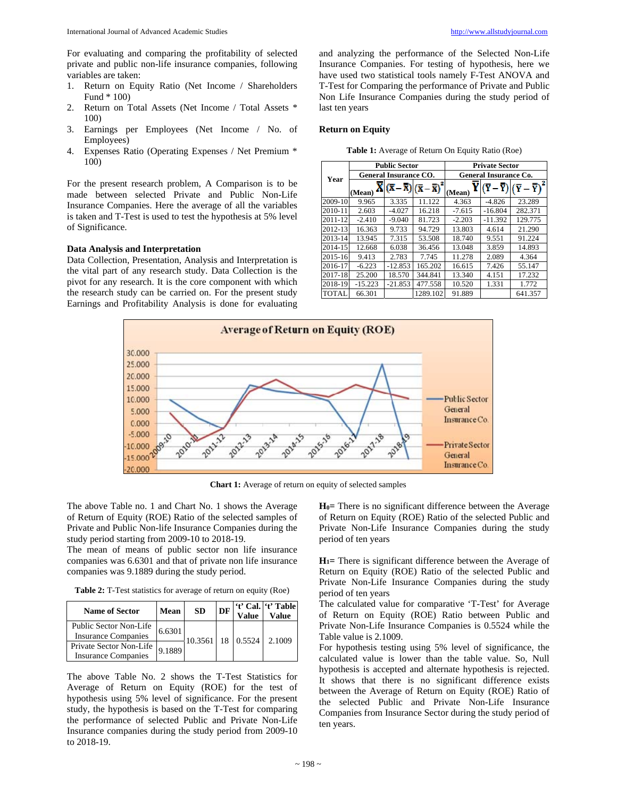For evaluating and comparing the profitability of selected private and public non-life insurance companies, following variables are taken:

- 1. Return on Equity Ratio (Net Income / Shareholders Fund \* 100)
- 2. Return on Total Assets (Net Income / Total Assets \* 100)
- 3. Earnings per Employees (Net Income / No. of Employees)
- 4. Expenses Ratio (Operating Expenses / Net Premium \* 100)

For the present research problem, A Comparison is to be made between selected Private and Public Non-Life Insurance Companies. Here the average of all the variables is taken and T-Test is used to test the hypothesis at 5% level of Significance.

## **Data Analysis and Interpretation**

Data Collection, Presentation, Analysis and Interpretation is the vital part of any research study. Data Collection is the pivot for any research. It is the core component with which the research study can be carried on. For the present study Earnings and Profitability Analysis is done for evaluating

and analyzing the performance of the Selected Non-Life Insurance Companies. For testing of hypothesis, here we have used two statistical tools namely F-Test ANOVA and T-Test for Comparing the performance of Private and Public Non Life Insurance Companies during the study period of last ten years

#### **Return on Equity**

|              | <b>Public Sector</b> |                              |                                                                           |          | <b>Private Sector</b>        |                     |  |  |  |
|--------------|----------------------|------------------------------|---------------------------------------------------------------------------|----------|------------------------------|---------------------|--|--|--|
| Year         |                      | <b>General Insurance CO.</b> |                                                                           |          | <b>General Insurance Co.</b> |                     |  |  |  |
|              | (Mean)               |                              | $\overline{\mathbf{X}} - \overline{\overline{\mathbf{X}}}$ ) <sup>2</sup> | (Mean)   |                              | $-\mathbf{\bar{Y}}$ |  |  |  |
| 2009-10      | 9.965                | 3.335                        | 11.122                                                                    | 4.363    | $-4.826$                     | 23.289              |  |  |  |
| 2010-11      | 2.603                | $-4.027$                     | 16.218                                                                    | $-7.615$ | $-16.804$                    | 282.371             |  |  |  |
| 2011-12      | $-2.410$             | $-9.040$                     | 81.723                                                                    | $-2.203$ | $-11.392$                    | 129.775             |  |  |  |
| 2012-13      | 16.363               | 9.733                        | 94.729                                                                    | 13.803   | 4.614                        | 21.290              |  |  |  |
| 2013-14      | 13.945               | 7.315                        | 53.508                                                                    | 18.740   | 9.551                        | 91.224              |  |  |  |
| 2014-15      | 12.668               | 6.038                        | 36.456                                                                    | 13.048   | 3.859                        | 14.893              |  |  |  |
| 2015-16      | 9.413                | 2.783                        | 7.745                                                                     | 11.278   | 2.089                        | 4.364               |  |  |  |
| 2016-17      | $-6.223$             | $-12.853$                    | 165.202                                                                   | 16.615   | 7.426                        | 55.147              |  |  |  |
| 2017-18      | 25.200               | 18.570                       | 344.841                                                                   | 13.340   | 4.151                        | 17.232              |  |  |  |
| 2018-19      | $-15.223$            | $-21.853$                    | 477.558                                                                   | 10.520   | 1.331                        | 1.772               |  |  |  |
| <b>TOTAL</b> | 66.301               |                              | 1289.102                                                                  | 91.889   |                              | 641.357             |  |  |  |

**Table 1:** Average of Return On Equity Ratio (Roe)



**Chart 1:** Average of return on equity of selected samples

The above Table no. 1 and Chart No. 1 shows the Average of Return of Equity (ROE) Ratio of the selected samples of Private and Public Non-life Insurance Companies during the study period starting from 2009-10 to 2018-19.

The mean of means of public sector non life insurance companies was 6.6301 and that of private non life insurance companies was 9.1889 during the study period.

**Table 2:** T-Test statistics for average of return on equity (Roe)

| <b>Name of Sector</b>                                 | <b>Mean</b> | <b>SD</b> | DF | <b>Value</b>          | 't' Cal. 't' Table<br>Value |
|-------------------------------------------------------|-------------|-----------|----|-----------------------|-----------------------------|
| Public Sector Non-Life<br><b>Insurance Companies</b>  | 6.6301      |           |    | 10.3561   18   0.5524 | 2.1009                      |
| Private Sector Non-Life<br><b>Insurance Companies</b> | 9.18891     |           |    |                       |                             |

The above Table No. 2 shows the T-Test Statistics for Average of Return on Equity (ROE) for the test of hypothesis using 5% level of significance. For the present study, the hypothesis is based on the T-Test for comparing the performance of selected Public and Private Non-Life Insurance companies during the study period from 2009-10 to 2018-19.

**H0=** There is no significant difference between the Average of Return on Equity (ROE) Ratio of the selected Public and Private Non-Life Insurance Companies during the study period of ten years

**H1=** There is significant difference between the Average of Return on Equity (ROE) Ratio of the selected Public and Private Non-Life Insurance Companies during the study period of ten years

The calculated value for comparative 'T-Test' for Average of Return on Equity (ROE) Ratio between Public and Private Non-Life Insurance Companies is 0.5524 while the Table value is 2.1009.

For hypothesis testing using 5% level of significance, the calculated value is lower than the table value. So, Null hypothesis is accepted and alternate hypothesis is rejected. It shows that there is no significant difference exists between the Average of Return on Equity (ROE) Ratio of the selected Public and Private Non-Life Insurance Companies from Insurance Sector during the study period of ten years.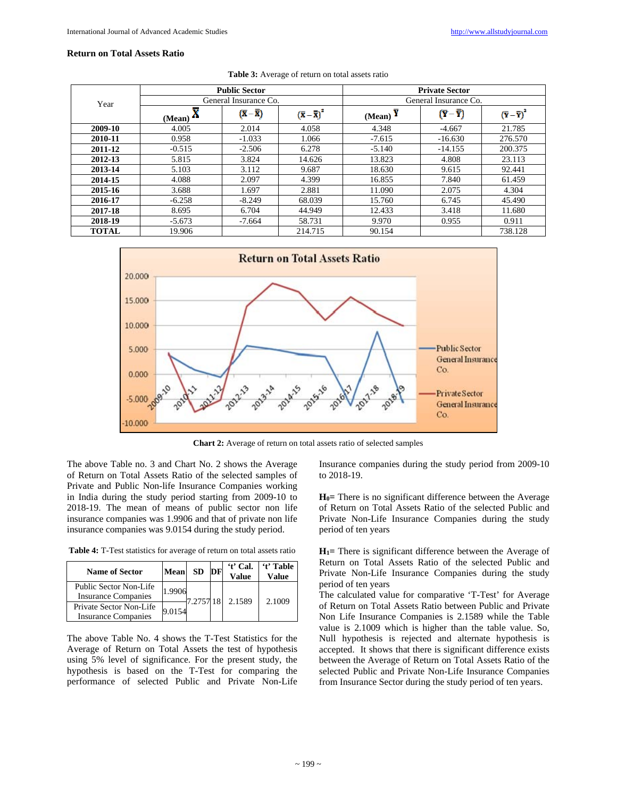## **Return on Total Assets Ratio**

|              |                       | <b>Public Sector</b>          |                                 |                       | <b>Private Sector</b> |                                                     |  |
|--------------|-----------------------|-------------------------------|---------------------------------|-----------------------|-----------------------|-----------------------------------------------------|--|
| Year         | General Insurance Co. |                               |                                 | General Insurance Co. |                       |                                                     |  |
|              | (Mean)                | $(\overline{x}-\overline{x})$ | $(\overline{x}-\overline{x})^2$ | (Mean) $\overline{Y}$ | $(Y - \overline{Y})$  | $(\overline{\mathbf{Y}} - \overline{\mathbf{Y}})^2$ |  |
| 2009-10      | 4.005                 | 2.014                         | 4.058                           | 4.348                 | $-4.667$              | 21.785                                              |  |
| 2010-11      | 0.958                 | $-1.033$                      | 1.066                           | $-7.615$              | $-16.630$             | 276.570                                             |  |
| 2011-12      | $-0.515$              | $-2.506$                      | 6.278                           | $-5.140$              | $-14.155$             | 200.375                                             |  |
| 2012-13      | 5.815                 | 3.824                         | 14.626                          | 13.823                | 4.808                 | 23.113                                              |  |
| 2013-14      | 5.103                 | 3.112                         | 9.687                           | 18.630                | 9.615                 | 92.441                                              |  |
| 2014-15      | 4.088                 | 2.097                         | 4.399                           | 16.855                | 7.840                 | 61.459                                              |  |
| 2015-16      | 3.688                 | 1.697                         | 2.881                           | 11.090                | 2.075                 | 4.304                                               |  |
| 2016-17      | $-6.258$              | $-8.249$                      | 68.039                          | 15.760                | 6.745                 | 45.490                                              |  |
| 2017-18      | 8.695                 | 6.704                         | 44.949                          | 12.433                | 3.418                 | 11.680                                              |  |
| 2018-19      | $-5.673$              | $-7.664$                      | 58.731                          | 9.970                 | 0.955                 | 0.911                                               |  |
| <b>TOTAL</b> | 19.906                |                               | 214.715                         | 90.154                |                       | 738.128                                             |  |

Table 3: Average of return on total assets ratio



**Chart 2:** Average of return on total assets ratio of selected samples

The above Table no. 3 and Chart No. 2 shows the Average of Return on Total Assets Ratio of the selected samples of Private and Public Non-life Insurance Companies working in India during the study period starting from 2009-10 to 2018-19. The mean of means of public sector non life insurance companies was 1.9906 and that of private non life insurance companies was 9.0154 during the study period.

**Table 4:** T-Test statistics for average of return on total assets ratio

| <b>Name of Sector</b>                                 | Mean   | <b>SD</b> | DF | 't' Cal.<br>Value | 't' Table<br>Value |
|-------------------------------------------------------|--------|-----------|----|-------------------|--------------------|
| Public Sector Non-Life<br><b>Insurance Companies</b>  | 1.9906 | 7.2757 18 |    | 2.1589            | 2.1009             |
| Private Sector Non-Life<br><b>Insurance Companies</b> | 9.0154 |           |    |                   |                    |

The above Table No. 4 shows the T-Test Statistics for the Average of Return on Total Assets the test of hypothesis using 5% level of significance. For the present study, the hypothesis is based on the T-Test for comparing the performance of selected Public and Private Non-Life Insurance companies during the study period from 2009-10 to 2018-19.

**H0=** There is no significant difference between the Average of Return on Total Assets Ratio of the selected Public and Private Non-Life Insurance Companies during the study period of ten years

**H1=** There is significant difference between the Average of Return on Total Assets Ratio of the selected Public and Private Non-Life Insurance Companies during the study period of ten years

The calculated value for comparative 'T-Test' for Average of Return on Total Assets Ratio between Public and Private Non Life Insurance Companies is 2.1589 while the Table value is 2.1009 which is higher than the table value. So, Null hypothesis is rejected and alternate hypothesis is accepted. It shows that there is significant difference exists between the Average of Return on Total Assets Ratio of the selected Public and Private Non-Life Insurance Companies from Insurance Sector during the study period of ten years.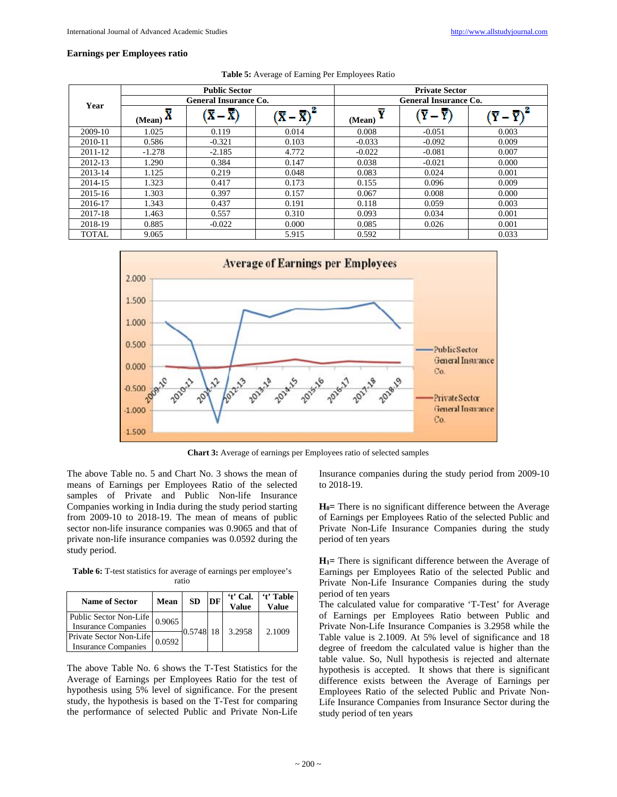## **Earnings per Employees ratio**

|              |                              | <b>Public Sector</b> |                   |                              | <b>Private Sector</b> |       |  |  |
|--------------|------------------------------|----------------------|-------------------|------------------------------|-----------------------|-------|--|--|
| Year         | <b>General Insurance Co.</b> |                      |                   | <b>General Insurance Co.</b> |                       |       |  |  |
|              | $(Mean)$ $\overline{X}$      |                      | $-\overline{X}^2$ | v<br>(Mean)                  |                       |       |  |  |
| 2009-10      | 1.025                        | 0.119                | 0.014             | 0.008                        | $-0.051$              | 0.003 |  |  |
| 2010-11      | 0.586                        | $-0.321$             | 0.103             | $-0.033$                     | $-0.092$              | 0.009 |  |  |
| 2011-12      | $-1.278$                     | $-2.185$             | 4.772             | $-0.022$                     | $-0.081$              | 0.007 |  |  |
| 2012-13      | 1.290                        | 0.384                | 0.147             | 0.038                        | $-0.021$              | 0.000 |  |  |
| 2013-14      | 1.125                        | 0.219                | 0.048             | 0.083                        | 0.024                 | 0.001 |  |  |
| 2014-15      | 1.323                        | 0.417                | 0.173             | 0.155                        | 0.096                 | 0.009 |  |  |
| 2015-16      | 1.303                        | 0.397                | 0.157             | 0.067                        | 0.008                 | 0.000 |  |  |
| 2016-17      | 1.343                        | 0.437                | 0.191             | 0.118                        | 0.059                 | 0.003 |  |  |
| 2017-18      | 1.463                        | 0.557                | 0.310             | 0.093                        | 0.034                 | 0.001 |  |  |
| 2018-19      | 0.885                        | $-0.022$             | 0.000             | 0.085                        | 0.026                 | 0.001 |  |  |
| <b>TOTAL</b> | 9.065                        |                      | 5.915             | 0.592                        |                       | 0.033 |  |  |

|  | <b>Table 5:</b> Average of Earning Per Employees Ratio |  |  |
|--|--------------------------------------------------------|--|--|
|  |                                                        |  |  |



**Chart 3:** Average of earnings per Employees ratio of selected samples

The above Table no. 5 and Chart No. 3 shows the mean of means of Earnings per Employees Ratio of the selected samples of Private and Public Non-life Insurance Companies working in India during the study period starting from 2009-10 to 2018-19. The mean of means of public sector non-life insurance companies was 0.9065 and that of private non-life insurance companies was 0.0592 during the study period.

**Table 6:** T-test statistics for average of earnings per employee's ratio

| <b>Name of Sector</b>                                 | Mean   | SD        | DF | 't' Cal.<br><b>Value</b> | 't' Table<br>Value |
|-------------------------------------------------------|--------|-----------|----|--------------------------|--------------------|
| Public Sector Non-Life<br><b>Insurance Companies</b>  | 0.9065 | 0.5748 18 |    | 3.2958                   | 2.1009             |
| Private Sector Non-Life<br><b>Insurance Companies</b> | 0.0592 |           |    |                          |                    |

The above Table No. 6 shows the T-Test Statistics for the Average of Earnings per Employees Ratio for the test of hypothesis using 5% level of significance. For the present study, the hypothesis is based on the T-Test for comparing the performance of selected Public and Private Non-Life

Insurance companies during the study period from 2009-10 to 2018-19.

**H0=** There is no significant difference between the Average of Earnings per Employees Ratio of the selected Public and Private Non-Life Insurance Companies during the study period of ten years

**H1=** There is significant difference between the Average of Earnings per Employees Ratio of the selected Public and Private Non-Life Insurance Companies during the study period of ten years

The calculated value for comparative 'T-Test' for Average of Earnings per Employees Ratio between Public and Private Non-Life Insurance Companies is 3.2958 while the Table value is 2.1009. At 5% level of significance and 18 degree of freedom the calculated value is higher than the table value. So, Null hypothesis is rejected and alternate hypothesis is accepted. It shows that there is significant difference exists between the Average of Earnings per Employees Ratio of the selected Public and Private Non-Life Insurance Companies from Insurance Sector during the study period of ten years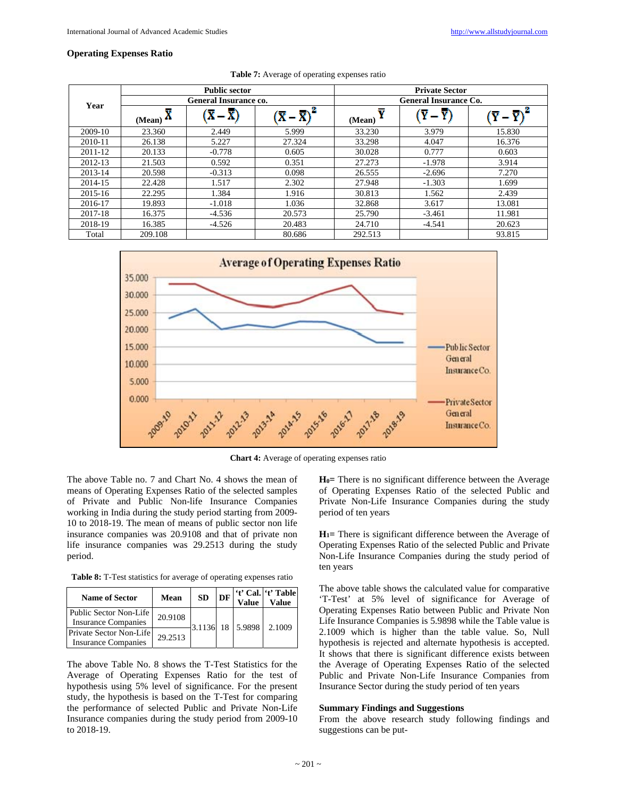## **Operating Expenses Ratio**

|         |                              | <b>Public sector</b>                              |        |                              | <b>Private Sector</b> |        |  |  |
|---------|------------------------------|---------------------------------------------------|--------|------------------------------|-----------------------|--------|--|--|
| Year    | <b>General Insurance co.</b> |                                                   |        | <b>General Insurance Co.</b> |                       |        |  |  |
|         | $\frac{M_{\text{can}}}{M}$   | $(\overline{\mathbf{X}} - \overline{\mathbf{X}})$ |        | Y<br>(Mean)                  |                       |        |  |  |
| 2009-10 | 23.360                       | 2.449                                             | 5.999  | 33.230                       | 3.979                 | 15.830 |  |  |
| 2010-11 | 26.138                       | 5.227                                             | 27.324 | 33.298                       | 4.047                 | 16.376 |  |  |
| 2011-12 | 20.133                       | $-0.778$                                          | 0.605  | 30.028                       | 0.777                 | 0.603  |  |  |
| 2012-13 | 21.503                       | 0.592                                             | 0.351  | 27.273                       | $-1.978$              | 3.914  |  |  |
| 2013-14 | 20.598                       | $-0.313$                                          | 0.098  | 26.555                       | $-2.696$              | 7.270  |  |  |
| 2014-15 | 22.428                       | 1.517                                             | 2.302  | 27.948                       | $-1.303$              | 1.699  |  |  |
| 2015-16 | 22.295                       | 1.384                                             | 1.916  | 30.813                       | 1.562                 | 2.439  |  |  |
| 2016-17 | 19.893                       | $-1.018$                                          | 1.036  | 32.868                       | 3.617                 | 13.081 |  |  |
| 2017-18 | 16.375                       | $-4.536$                                          | 20.573 | 25.790                       | $-3.461$              | 11.981 |  |  |
| 2018-19 | 16.385                       | $-4.526$                                          | 20.483 | 24.710                       | $-4.541$              | 20.623 |  |  |
| Total   | 209.108                      |                                                   | 80.686 | 292.513                      |                       | 93.815 |  |  |





**Chart 4:** Average of operating expenses ratio

The above Table no. 7 and Chart No. 4 shows the mean of means of Operating Expenses Ratio of the selected samples of Private and Public Non-life Insurance Companies working in India during the study period starting from 2009- 10 to 2018-19. The mean of means of public sector non life insurance companies was 20.9108 and that of private non life insurance companies was 29.2513 during the study period.

**Table 8:** T-Test statistics for average of operating expenses ratio

| <b>Name of Sector</b>                                  | Mean    | <b>SD</b> | DF | <b>Value</b> | 't' Cal. 't' Table<br>Value |
|--------------------------------------------------------|---------|-----------|----|--------------|-----------------------------|
| Public Sector Non-Life I<br><b>Insurance Companies</b> | 20.9108 | 3.1136    | 18 | 5.9898       | 2.1009                      |
| Private Sector Non-Life<br><b>Insurance Companies</b>  | 29.2513 |           |    |              |                             |

The above Table No. 8 shows the T-Test Statistics for the Average of Operating Expenses Ratio for the test of hypothesis using 5% level of significance. For the present study, the hypothesis is based on the T-Test for comparing the performance of selected Public and Private Non-Life Insurance companies during the study period from 2009-10 to 2018-19.

**H0=** There is no significant difference between the Average of Operating Expenses Ratio of the selected Public and Private Non-Life Insurance Companies during the study period of ten years

**H1=** There is significant difference between the Average of Operating Expenses Ratio of the selected Public and Private Non-Life Insurance Companies during the study period of ten years

The above table shows the calculated value for comparative 'T-Test' at 5% level of significance for Average of Operating Expenses Ratio between Public and Private Non Life Insurance Companies is 5.9898 while the Table value is 2.1009 which is higher than the table value. So, Null hypothesis is rejected and alternate hypothesis is accepted. It shows that there is significant difference exists between the Average of Operating Expenses Ratio of the selected Public and Private Non-Life Insurance Companies from Insurance Sector during the study period of ten years

## **Summary Findings and Suggestions**

From the above research study following findings and suggestions can be put-